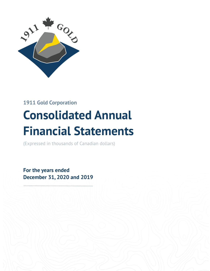

# **Consolidated Annual Financial Statements 1911 Gold Corporation**

(Expressed in thousands of Canadian dollars)

**For the years ended December 31, 2020 and 2019**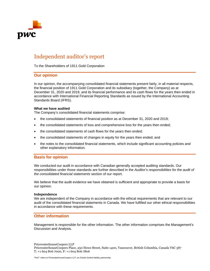

## Independent auditor's report

To the Shareholders of 1911 Gold Corporation

#### **Our opinion**

In our opinion, the accompanying consolidated financial statements present fairly, in all material respects, the financial position of 1911 Gold Corporation and its subsidiary (together, the Company) as at December 31, 2020 and 2019, and its financial performance and its cash flows for the years then ended in accordance with International Financial Reporting Standards as issued by the International Accounting Standards Board (IFRS).

#### **What we have audited**

The Company's consolidated financial statements comprise:

- the consolidated statements of financial position as at December 31, 2020 and 2019;
- the consolidated statements of loss and comprehensive loss for the years then ended;
- the consolidated statements of cash flows for the years then ended;
- the consolidated statements of changes in equity for the years then ended; and
- the notes to the consolidated financial statements, which include significant accounting policies and other explanatory information.

#### **Basis for opinion**

We conducted our audit in accordance with Canadian generally accepted auditing standards. Our responsibilities under those standards are further described in the *Auditor's responsibilities for the audit of the consolidated financial statements* section of our report.

We believe that the audit evidence we have obtained is sufficient and appropriate to provide a basis for our opinion.

#### **Independence**

We are independent of the Company in accordance with the ethical requirements that are relevant to our audit of the consolidated financial statements in Canada. We have fulfilled our other ethical responsibilities in accordance with these requirements.

#### **Other information**

Management is responsible for the other information. The other information comprises the Management's Discussion and Analysis.

PricewaterhouseCoopers LLP PricewaterhouseCoopers Place, 250 Howe Street, Suite 1400, Vancouver, British Columbia, Canada V6C 3S7 T: +1 604 806 7000, F: +1 604 806 7806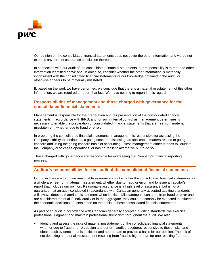

Our opinion on the consolidated financial statements does not cover the other information and we do not express any form of assurance conclusion thereon.

In connection with our audit of the consolidated financial statements, our responsibility is to read the other information identified above and, in doing so, consider whether the other information is materially inconsistent with the consolidated financial statements or our knowledge obtained in the audit, or otherwise appears to be materially misstated.

If, based on the work we have performed, we conclude that there is a material misstatement of this other information, we are required to report that fact. We have nothing to report in this regard.

#### **Responsibilities of management and those charged with governance for the consolidated financial statements**

Management is responsible for the preparation and fair presentation of the consolidated financial statements in accordance with IFRS, and for such internal control as management determines is necessary to enable the preparation of consolidated financial statements that are free from material misstatement, whether due to fraud or error.

In preparing the consolidated financial statements, management is responsible for assessing the Company's ability to continue as a going concern, disclosing, as applicable, matters related to going concern and using the going concern basis of accounting unless management either intends to liquidate the Company or to cease operations, or has no realistic alternative but to do so.

Those charged with governance are responsible for overseeing the Company's financial reporting process.

#### **Auditor's responsibilities for the audit of the consolidated financial statements**

Our objectives are to obtain reasonable assurance about whether the consolidated financial statements as a whole are free from material misstatement, whether due to fraud or error, and to issue an auditor's report that includes our opinion. Reasonable assurance is a high level of assurance, but is not a guarantee that an audit conducted in accordance with Canadian generally accepted auditing standards will always detect a material misstatement when it exists. Misstatements can arise from fraud or error and are considered material if, individually or in the aggregate, they could reasonably be expected to influence the economic decisions of users taken on the basis of these consolidated financial statements.

As part of an audit in accordance with Canadian generally accepted auditing standards, we exercise professional judgment and maintain professional skepticism throughout the audit. We also:

 Identify and assess the risks of material misstatement of the consolidated financial statements, whether due to fraud or error, design and perform audit procedures responsive to those risks, and obtain audit evidence that is sufficient and appropriate to provide a basis for our opinion. The risk of not detecting a material misstatement resulting from fraud is higher than for one resulting from error,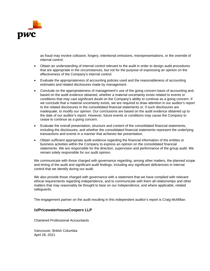

as fraud may involve collusion, forgery, intentional omissions, misrepresentations, or the override of internal control.

- Obtain an understanding of internal control relevant to the audit in order to design audit procedures that are appropriate in the circumstances, but not for the purpose of expressing an opinion on the effectiveness of the Company's internal control.
- Evaluate the appropriateness of accounting policies used and the reasonableness of accounting estimates and related disclosures made by management.
- Conclude on the appropriateness of management's use of the going concern basis of accounting and, based on the audit evidence obtained, whether a material uncertainty exists related to events or conditions that may cast significant doubt on the Company's ability to continue as a going concern. If we conclude that a material uncertainty exists, we are required to draw attention in our auditor's report to the related disclosures in the consolidated financial statements or, if such disclosures are inadequate, to modify our opinion. Our conclusions are based on the audit evidence obtained up to the date of our auditor's report. However, future events or conditions may cause the Company to cease to continue as a going concern.
- Evaluate the overall presentation, structure and content of the consolidated financial statements, including the disclosures, and whether the consolidated financial statements represent the underlying transactions and events in a manner that achieves fair presentation.
- Obtain sufficient appropriate audit evidence regarding the financial information of the entities or business activities within the Company to express an opinion on the consolidated financial statements. We are responsible for the direction, supervision and performance of the group audit. We remain solely responsible for our audit opinion.

We communicate with those charged with governance regarding, among other matters, the planned scope and timing of the audit and significant audit findings, including any significant deficiencies in internal control that we identify during our audit.

We also provide those charged with governance with a statement that we have complied with relevant ethical requirements regarding independence, and to communicate with them all relationships and other matters that may reasonably be thought to bear on our independence, and where applicable, related safeguards.

The engagement partner on the audit resulting in this independent auditor's report is Craig McMillan.

#### **/s/PricewaterhouseCoopers LLP**

Chartered Professional Accountants

Vancouver, British Columbia April 28, 2021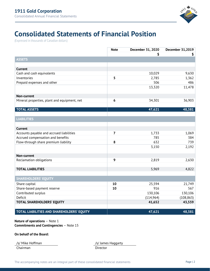

## **Consolidated Statements of Financial Position**

(Expressed in thousands of Canadian dollars)

|                                              | <b>Note</b>     | December 31, 2020 | December 31,2019 |
|----------------------------------------------|-----------------|-------------------|------------------|
|                                              |                 | \$                | S.               |
| <b>ASSETS</b>                                |                 |                   |                  |
|                                              |                 |                   |                  |
| <b>Current</b>                               |                 |                   |                  |
| Cash and cash equivalents                    |                 | 10,029            | 9,630            |
| Inventories                                  | 5               | 2,785             | 1,362            |
| Prepaid expenses and other                   |                 | 506               | 486              |
|                                              |                 | 13,320            | 11,478           |
|                                              |                 |                   |                  |
| Non-current                                  |                 |                   |                  |
| Mineral properties, plant and equipment, net | $6\phantom{1}6$ | 34,301            | 36,903           |
|                                              |                 |                   |                  |
| <b>TOTAL ASSETS</b>                          |                 | 47,621            | 48,381           |
| <b>LIABILITIES</b>                           |                 |                   |                  |
|                                              |                 |                   |                  |
| <b>Current</b>                               |                 |                   |                  |
| Accounts payable and accrued liabilities     | $\overline{7}$  | 1,733             | 1,069            |
| Accrued compensation and benefits            |                 | 785               | 384              |
| Flow-through share premium liability         | 8               | 632               | 739              |
|                                              |                 | 3,150             | 2,192            |
|                                              |                 |                   |                  |
| Non-current                                  |                 |                   |                  |
| <b>Reclamation obligations</b>               | 9               | 2,819             | 2,630            |
|                                              |                 |                   |                  |
| <b>TOTAL LIABILITIES</b>                     |                 | 5,969             | 4,822            |
|                                              |                 |                   |                  |
| <b>SHAREHOLDERS' EQUITY</b>                  |                 |                   |                  |
| Share capital                                | 10              | 25,594            | 21,749           |
| Share-based payment reserve                  | 10              | 916               | 567              |
| Contributed surplus                          |                 | 130,106           | 130,106          |
| Deficit                                      |                 | (114,964)         | (108, 863)       |
| TOTAL SHAREHOLDERS' EQUITY                   |                 | 41,652            | 43,559           |
|                                              |                 |                   |                  |
| TOTAL LIABILITIES AND SHAREHOLDERS' EQUITY   |                 | 47,621            | 48,381           |

**Nature of operations** – Note 1 **Commitments and Contingencies** – Note 15

**On behalf of the Board:**

| /s/ Mike Hoffman | /s/ James |
|------------------|-----------|
| Chairman         | Director  |

/s/ James Haggarty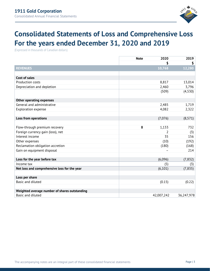

## **Consolidated Statements of Loss and Comprehensive Loss For the years ended December 31, 2020 and 2019**

(Expressed in thousands of Canadian dollars)

|                                               | <b>Note</b> | 2020       | 2019       |
|-----------------------------------------------|-------------|------------|------------|
|                                               |             | \$         | \$         |
| <b>REVENUES</b>                               |             | 10,768     | 12,280     |
|                                               |             |            |            |
| <b>Cost of sales</b>                          |             |            |            |
| Production costs                              |             | 8,817      | 13,014     |
| Depreciation and depletion                    |             | 2,460      | 3,796      |
|                                               |             | (509)      | (4, 530)   |
| <b>Other operating expenses</b>               |             |            |            |
| General and administrative                    |             | 2,485      | 1,719      |
| <b>Exploration expense</b>                    |             | 4,082      | 2,322      |
|                                               |             |            |            |
| <b>Loss from operations</b>                   |             | (7,076)    | (8, 571)   |
| Flow-through premium recovery                 | 8           | 1,133      | 732        |
| Foreign currency gain (loss), net             |             | 2          | (3)        |
| Interest income                               |             | 35         | 156        |
| Other expenses                                |             | (10)       | (192)      |
| Reclamation obligation accretion              |             | (180)      | (168)      |
| Gain on equipment disposal                    |             |            | 214        |
|                                               |             |            |            |
| Loss for the year before tax                  |             | (6,096)    | (7, 832)   |
| Income tax                                    |             | (5)        | (3)        |
| Net loss and comprehensive loss for the year  |             | (6, 101)   | (7, 835)   |
|                                               |             |            |            |
| Loss per share                                |             |            |            |
| Basic and diluted                             |             | (0.15)     | (0.22)     |
|                                               |             |            |            |
| Weighted average number of shares outstanding |             |            |            |
| Basic and diluted                             |             | 42,007,242 | 36,247,978 |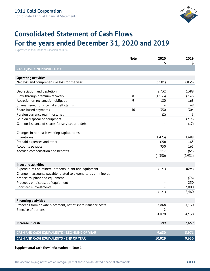

## **Consolidated Statement of Cash Flows For the years ended December 31, 2020 and 2019**

(Expressed in thousands of Canadian dollars)

|                                                               | <b>Note</b> | 2020     | 2019     |
|---------------------------------------------------------------|-------------|----------|----------|
|                                                               |             |          | \$       |
| <b>CASH (USED IN) PROVIDED BY:</b>                            |             |          |          |
|                                                               |             |          |          |
| <b>Operating activities</b>                                   |             |          |          |
| Net loss and comprehensive loss for the year                  |             | (6, 101) | (7, 835) |
|                                                               |             |          |          |
| Depreciation and depletion                                    |             | 2,732    | 3,389    |
| Flow-through premium recovery                                 | 8           | (1, 133) | (732)    |
| Accretion on reclamation obligation                           | 9           | 180      | 168      |
| Shares issued for Rice Lake Belt claims                       |             |          | 49       |
| Share-based payments                                          | 10          | 350      | 304      |
| Foreign currency (gain) loss, net                             |             | (2)      | 3        |
| Gain on disposal of equipment                                 |             |          | (214)    |
| Gain on issuance of shares for services and debt              |             |          | (17)     |
|                                                               |             |          |          |
| Changes in non-cash working capital items                     |             |          |          |
| Inventories                                                   |             | (1, 423) | 1,688    |
| Prepaid expenses and other                                    |             | (20)     | 165      |
| Accounts payable                                              |             | 950      | 165      |
| Accrued compensation and benefits                             |             | 117      | (64)     |
|                                                               |             | (4, 350) | (2,931)  |
|                                                               |             |          |          |
| <b>Investing activities</b>                                   |             |          |          |
| Expenditures on mineral property, plant and equipment         |             | (121)    | (694)    |
| Change in accounts payable related to expenditures on mineral |             |          |          |
| properties, plant and equipment                               |             |          | (76)     |
| Proceeds on disposal of equipment                             |             |          | 230      |
| Short-term investments                                        |             |          | 3,000    |
|                                                               |             | (121)    | 2,460    |
|                                                               |             |          |          |
| <b>Financing activities</b>                                   |             |          |          |
| Proceeds from private placement, net of share issuance costs  |             | 4,868    | 4,130    |
| Exercise of options                                           |             |          |          |
|                                                               |             | 4,870    | 4,130    |
| Increase in cash                                              |             | 399      |          |
|                                                               |             |          | 3,659    |
| CASH AND CASH EQUIVALENTS - BEGINNING OF YEAR                 |             | 9,630    | 5,971    |
| CASH AND CASH EQUIVALENTS - END OF YEAR                       |             | 10,029   | 9,630    |
|                                                               |             |          |          |

**Supplemental cash flow information** – Note 14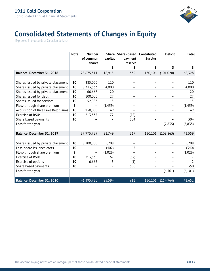

## **Consolidated Statements of Changes in Equity**

(Expressed in thousands of Canadian dollars)

|                                      | <b>Note</b> | <b>Number</b><br>of common<br>shares | capital                  | Share Share-based Contributed<br>payment<br>reserve | <b>Surplus</b>           | <b>Deficit</b>           | <b>Total</b>   |
|--------------------------------------|-------------|--------------------------------------|--------------------------|-----------------------------------------------------|--------------------------|--------------------------|----------------|
|                                      |             |                                      | \$                       | \$                                                  | \$                       | \$                       |                |
| Balance, December 31, 2018           |             | 28,675,311                           | 18,915                   | 335                                                 | 130,106                  | (101, 028)               | 48,328         |
|                                      |             |                                      |                          |                                                     |                          |                          |                |
| Shares Issued by private placement   | 10          | 385,000                              | 110                      |                                                     |                          |                          | 110            |
| Shares Issued by private placement   | 10          | 8,333,333                            | 4,000                    | $\overline{\phantom{0}}$                            |                          | $\qquad \qquad -$        | 4,000          |
| Shares Issued by private placement   | 10          | 66,667                               | 20                       |                                                     |                          |                          | 20             |
| Shares issued for debt               | 10          | 100,000                              | 27                       |                                                     |                          | $\overline{\phantom{0}}$ | 27             |
| Shares issued for services           | 10          | 52,083                               | 15                       | $\overline{\phantom{m}}$                            |                          | $\overline{\phantom{0}}$ | 15             |
| Flow-through share premium           | 8           |                                      | (1, 459)                 |                                                     |                          | $\overline{\phantom{0}}$ | (1, 459)       |
| Acquisition of Rice Lake Belt claims | 10          | 150,000                              | 49                       |                                                     | $\overline{\phantom{m}}$ | $\overline{\phantom{0}}$ | 49             |
| <b>Exercise of RSUs</b>              | 10          | 213,335                              | 72                       | (72)                                                |                          |                          |                |
| Share based payments                 | 10          |                                      | $\overline{\phantom{m}}$ | 304                                                 | $\qquad \qquad -$        | $\overline{\phantom{0}}$ | 304            |
| Loss for the year                    |             |                                      |                          |                                                     | $\qquad \qquad -$        | (7, 835)                 | (7, 835)       |
| Balance, December 31, 2019           |             | 37,975,729                           | 21,749                   | 567                                                 | 130,106                  | (108, 863)               | 43,559         |
|                                      |             |                                      |                          |                                                     |                          |                          |                |
| Shares Issued by private placement   | 10          | 8,200,000                            | 5,208                    |                                                     | $\qquad \qquad$          |                          | 5,208          |
| Less: share issuance costs           | 10          |                                      | (402)                    | 62                                                  |                          |                          | (340)          |
| Flow-through share premium           | 8           | $\qquad \qquad -$                    | (1,026)                  |                                                     |                          | $\qquad \qquad -$        | (1,026)        |
| <b>Exercise of RSUs</b>              | 10          | 213,335                              | 62                       | (62)                                                |                          |                          |                |
| Exercise of options                  | 10          | 6,666                                | 3                        | (1)                                                 | $\overline{\phantom{m}}$ | $\qquad \qquad$          | $\overline{2}$ |
| Share based payments                 | 10          |                                      |                          | 350                                                 |                          |                          | 350            |
| Loss for the year                    |             |                                      |                          |                                                     | $\qquad \qquad -$        | (6, 101)                 | (6, 101)       |
|                                      |             |                                      |                          |                                                     |                          |                          |                |
| Balance, December 31, 2020           |             | 46,395,730                           | 25,594                   | 916                                                 | 130,106                  | (114, 964)               | 41,652         |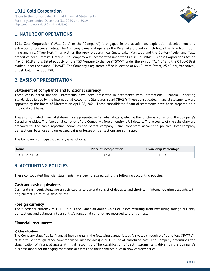

## **1. NATURE OF OPERATIONS**

1911 Gold Corporation ("1911 Gold" or the "Company") is engaged in the acquisition, exploration, development and extraction of precious metals. The Company owns and operates the Rice Lake property which holds the True North gold mine and mill ("True North"), as well as the Apex property near Snow Lake, Manitoba and the Denton-Keefer and Tully properties near Timmins, Ontario. The Company was incorporated under the British Columbia Business Corporations Act on May 3, 2018 and is listed publicly on the TSX Venture Exchange ("TSX-V") under the symbol "AUMB" and the OTCQX Best Market under the symbol "HAVXF". The Company's registered office is located at 666 Burrard Street, 25<sup>th</sup> Floor, Vancouver, British Columbia, V6C 2X8.

## **2. BASIS OF PRESENTATION**

#### **Statement of compliance and functional currency**

These consolidated financial statements have been presented in accordance with International Financial Reporting Standards as issued by the International Accounting Standards Board ("IFRS"). These consolidated financial statements were approved by the Board of Directors on April 28, 2021. These consolidated financial statements have been prepared on a historical cost basis.

These consolidated financial statements are presented in Canadian dollars, which is the functional currency of the Company's Canadian entities. The functional currency of the Company's foreign entity is US dollars. The accounts of the subsidiary are prepared for the same reporting period as the parent company, using consistent accounting policies. Inter-company transactions, balances and unrealized gains or losses on transactions are eliminated.

The Company's principal subsidiary is as follows:

| <b>Name</b>   | <b>Place of Incorporation</b> | <b>Ownership Percentage</b> |
|---------------|-------------------------------|-----------------------------|
| 1911 Gold USA | JSA                           | 100%                        |

## **3. ACCOUNTING POLICIES**

These consolidated financial statements have been prepared using the following accounting policies:

#### **Cash and cash equivalents**

Cash and cash equivalents are unrestricted as to use and consist of deposits and short-term interest-bearing accounts with original maturities of 90 days or less.

#### **Foreign currency**

The functional currency of 1911 Gold is the Canadian dollar. Gains or losses resulting from measuring foreign currency transactions and balances into an entity's functional currency are recorded to profit or loss.

#### **Financial Instruments**

#### **a) Classification**

The Company classifies its financial instruments in the following categories: at fair value through profit and loss ("FVTPL"), at fair value through other comprehensive income (loss) ("FVTOCI") or at amortized cost. The Company determines the classification of financial assets at initial recognition. The classification of debt instruments is driven by the Company's business model for managing the financial assets and their contractual cash flow characteristics.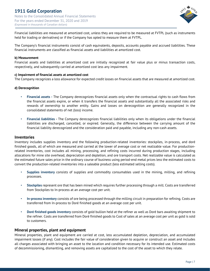

Financial liabilities are measured at amortized cost, unless they are required to be measured at FVTPL (such as instruments held for trading or derivatives) or if the Company has opted to measure them at FVTPL.

The Company's financial instruments consist of cash equivalents, deposits, accounts payable and accrued liabilities. These financial instruments are classified as financial assets and liabilities at amortized cost.

#### **b) Measurement**

Financial assets and liabilities at amortized cost are initially recognized at fair value plus or minus transaction costs, respectively, and subsequently carried at amortized cost less any impairment.

#### **c) Impairment of financial assets at amortized cost**

The Company recognizes a loss allowance for expected credit losses on financial assets that are measured at amortized cost.

#### **d) Derecognition**

- *•* **Financial assets -** The Company derecognizes financial assets only when the contractual rights to cash flows from the financial assets expire, or when it transfers the financial assets and substantially all the associated risks and rewards of ownership to another entity. Gains and losses on derecognition are generally recognized in the consolidated statements of net (loss) income.
- *•* **Financial liabilities** *-* The Company derecognizes financial liabilities only when its obligations under the financial liabilities are discharged, cancelled, or expired. Generally, the difference between the carrying amount of the financial liability derecognized and the consideration paid and payable, including any non-cash assets.

#### **Inventories**

Inventory includes supplies inventory and the following production-related inventories: stockpiles, in-process, and doré finished goods, all of which are measured and carried at the lower of average cost or net realizable value. For productionrelated inventories, cost includes all mining, processing, and refining costs incurred during production stages, including allocations for mine site overhead, depreciation and depletion, and ore transport costs. Net realizable value is calculated as the estimated future sales price in the ordinary course of business using period-end metal prices less the estimated costs to convert the production-related inventories into a saleable product (less estimated selling costs).

- *•* **Supplies inventory** consists of supplies and commodity consumables used in the mining, milling, and refining processes.
- *•* **Stockpiles** represent ore that has been mined which requires further processing through a mill. Costs are transferred from Stockpiles to In-process at an average cost per unit.
- *•* **In-process inventory** consists of ore being processed through the milling circuit in preparation for refining. Costs are transferred from In-process to Doré finished goods at an average cost per unit.
- *•* **Doré finished goods inventory** consists of gold bullion held at the refiner as well as Doré bars awaiting shipment to the refiner. Costs are transferred from Doré finished goods to Cost of sales at an average cost per unit as gold is sold to customers.

#### **Mineral properties, plant and equipment**

Mineral properties, plant and equipment are carried at cost, less accumulated depletion, depreciation, and accumulated impairment losses (if any). Cost includes the fair value of consideration given to acquire or construct an asset and includes all charges associated with bringing an asset to the location and condition necessary for its intended use. Estimated costs of decommissioning, dismantling, and removing assets are capitalized to the cost of the asset to which they relate.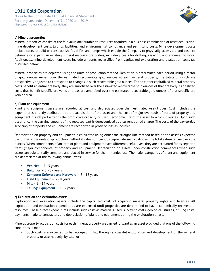#### **1911 Gold Corporation** Notes to the Consolidated Annual Financial Statements For the years ended December 31, 2020 and 2019



(Expressed in thousands of Canadian dollars)

#### **a) Mineral properties**

Mineral properties consist of the fair value attributable to resources acquired in a business combination or asset acquisition, mine development costs, tailings facilities, and environmental compliance and permitting costs. Mine development costs include costs to build or construct shafts, drifts, and ramps which enable the Company to physically access ore and costs to delineate or expand an existing mineral resource ore bodies, including, costs for drilling, assaying, and engineering work. Additionally, mine development costs include amounts reclassified from capitalized exploration and evaluation costs (as discussed below).

Mineral properties are depleted using the units-of-production method. Depletion is determined each period using a factor of gold ounces mined over the estimated recoverable gold ounces at each mineral property, the totals of which are prospectively adjusted to correspond to changes in such recoverable gold ounces. To the extent capitalized mineral property costs benefit an entire ore body, they are amortized over the estimated recoverable gold ounces of that ore body. Capitalized costs that benefit specific ore veins or areas are amortized over the estimated recoverable gold ounces of that specific ore vein or area.

#### **b) Plant and equipment**

Plant and equipment assets are recorded at cost and depreciated over their estimated useful lives. Cost includes the expenditures directly attributable to the acquisition of the asset and the cost of major overhauls of parts of property and equipment if such part extends the productive capacity or useful economic life of the asset to which it relates. Upon such occurrence, the carrying amount of the replaced part is derecognized as a current period charge. The costs of the day-to-day servicing of property and equipment are recognized in profit or loss as incurred.

Depreciation on property and equipment is calculated using either the straight-line method based on the asset's expected useful life or the units-of-production method at rates sufficient to depreciate such costs over the total estimated recoverable ounces. When components of an item of plant and equipment have different useful lives, they are accounted for as separate items (major components) of property and equipment. Depreciation on assets under construction commences when such assets are substantially complete and placed in service for their intended use. The major categories of plant and equipment are depreciated at the following annual rates:

- *•* **Vehicles** 3 5 years
- *•* **Buildings** 5 37 years
- *•* **Computer Software and Hardware** 3 12 years
- *•* **Field Equipment** 3 8 years
- *•* **Mill** 3 14 years
- *•* **Tailings Equipment** 3 5 years

#### **c) Exploration and evaluation assets**

Exploration and evaluation assets include the capitalized costs of acquiring mineral property rights and licenses. All exploration and evaluation expenditures are expensed until properties are determined to have economically recoverable resources. These direct expenditures include such costs as materials used, surveying costs, geological studies, drilling costs, payments made to contractors and depreciation of plant and equipment during the exploration phase.

Mineral property acquisition costs for each mineral property are carried forward as an asset provided that one of the following conditions is met:

*•* Such costs are expected to be recouped in full through successful exploration and development of the mineral property or alternatively, by sale; or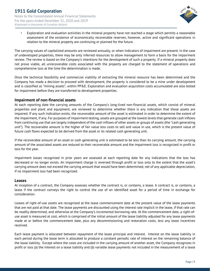

*•* Exploration and evaluation activities in the mineral property have not reached a stage which permits a reasonable assessment of the existence of economically recoverable reserves; however, active and significant operations in relation to the mineral property are continuing or planned for the future.

The carrying values of capitalized amounts are reviewed annually, or when indicators of impairment are present. In the case of undeveloped properties, there may be only inferred resources to allow management to form a basis for the impairment review. The review is based on the Company's intentions for the development of such a property. If a mineral property does not prove viable, all unrecoverable costs associated with the property are charged to the statement of operations and comprehensive loss at the time the determination is made.

Once the technical feasibility and commercial viability of extracting the mineral resource has been determined and the Company has made a decision to proceed with development, the property is considered to be a mine under development and is classified as "mining assets", within PP&E. Exploration and evaluation acquisition costs accumulated are also tested for impairment before they are transferred to development properties.

#### **Impairment of non-financial assets**

At each reporting date the carrying amounts of the Company's long-lived non-financial assets, which consist of mineral properties and plant and equipment, are reviewed to determine whether there is any indication that those assets are impaired. If any such indication exists, the recoverable amount of the asset is estimated in order to determine the extent of the impairment, if any. For purposes of impairment testing, assets are grouped at the lowest levels that generate cash inflows from continuing use that are largely independent of the cash inflows of other assets or groups of assets (the "cash generating unit"). The recoverable amount is the higher of fair value less costs to sell and value in use, which is the present value of future cash flows expected to be derived from the asset or its related cash generating unit.

If the recoverable amount of an asset or cash generating unit is estimated to be less than its carrying amount, the carrying amount of the associated assets are reduced to their recoverable amount and the impairment loss is recognized in profit or loss for the year.

Impairment losses recognized in prior years are assessed at each reporting date for any indications that the loss has decreased or no longer exists. An impairment charge is reversed through profit or loss only to the extent that the asset's carrying amount does not exceed the carrying amount that would have been determined, net of any applicable depreciation, if no impairment loss had been recognized.

#### **Leases**

At inception of a contract, the Company assesses whether the contract is, or contains, a lease. A contract is, or contains, a lease if the contract conveys the right to control the use of an identified asset for a period of time in exchange for consideration.

Leases of right-of-use assets are recognized at the lease commencement date at the present value of the lease payments that are not paid at that date. The lease payments are discounted using the interest rate implicit in the lease, if that rate can be readily determined, and otherwise at the Company's incremental borrowing rate. At the commencement date, a right-ofuse asset is measured at cost, which is comprised of the initial amount of the lease liability adjusted for any lease payments made at or before the commencement date, plus any decommissioning and restoration costs, less any lease incentives received.

Each lease payment is allocated between repayment of the lease principal and interest. Interest on the lease liability in each period during the lease term is allocated to produce a constant periodic rate of interest on the remaining balance of the lease liability. Except where the costs are included in the carrying amount of another asset, the Company recognizes in profit or loss (a) the interest on a lease liability and (b) variable lease payments not included in the measurement of a lease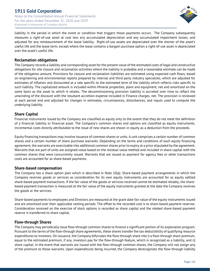#### **1911 Gold Corporation** Notes to the Consolidated Annual Financial Statements For the years ended December 31, 2020 and 2019 (Expressed in thousands of Canadian dollars)



liability in the period in which the event or condition that triggers those payments occurs. The Company subsequently measures a right-of-use asset at cost less any accumulated depreciation and any accumulated impairment losses; and adjusted for any remeasurement of the lease liability. Right-of-use assets are depreciated over the shorter of the asset's useful life and the lease term, except where the lease contains a bargain purchase option a right-of-use asset is depreciated over the asset's useful life.

#### **Reclamation obligations**

The Company records a liability and corresponding asset for the present value of the estimated costs of legal and constructive obligations for site closure and reclamation activities where the liability is probable and a reasonable estimate can be made of the obligation amount. Provisions for closure and reclamation liabilities are estimated using expected cash flows, based on engineering and environmental reports prepared by internal and third-party industry specialists, which are adjusted for estimates of inflation and discounted at a rate specific to the estimated term of the liability which reflects risks specific to such liability. The capitalized amount is included within Mineral properties, plant and equipment, net and amortized on the same basis as the asset to which it relates. The decommissioning provision liability is accreted over time to reflect the unwinding of the discount with the resultant accretion expense included in Finance charges, net. The provision is reviewed at each period end and adjusted for changes in estimates, circumstances, disturbances, and inputs used to compute the underlying liability.

#### **Share Capital**

Financial instruments issued by the Company are classified as equity only to the extent that they do not meet the definition of a financial liability or financial asset. The Company's common shares and options are classified as equity instruments. Incremental costs directly attributable to the issue of new shares are shown in equity as a deduction from the proceeds.

Equity financing transactions may involve issuance of common shares or units. A unit comprises a certain number of common shares and a certain number of share purchase warrants. Depending on the terms and conditions of each equity financing agreement, the warrants are exercisable into additional common shares prior to expiry at a price stipulated by the agreement. Warrants that are part of units are assigned value based on the residual value method and included in share capital with the common shares that were concurrently issued. Warrants that are issued as payment for agency fees or other transactions costs are accounted for as share‐based payments.

#### **Share-based compensation**

The Company has a share option plan which is described in Note 10(a). Share-based payment arrangements in which the Company receives goods or services as consideration for its own equity instruments are accounted for as equity settled share-based payment transactions. If the fair value of the goods or services received cannot be estimated reliably, the sharebased payment transaction is measured at the fair value of the equity instruments granted at the date the Company receives the goods or the services.

Share-based payments to employees and Directors are measured at the grant date fair value of the equity instruments issued and are amortized over their applicable vesting periods. The offset to the recorded cost is to share-based payment reserves. Consideration received on the exercise of stock options is recorded as share capital and the related share-based payment reserve is transferred to share capital.

#### **Flow-through Shares**

The Company may periodically issue flow-through common shares to finance a significant portion of its exploration program. Pursuant to the terms of the flow-through share agreements, these shares transfer the tax deductibility of qualifying resource expenditures to investors. On issuance, the Company bifurcates the flow-through share into i) a flow-through share premium, equal to the estimated premium, if any, investors pay for the flow-through feature, which is recognized as a liability, and ii) share capital. In the event that warrants are issued with the flow-through common shares, the Company will not assign any of the premium to those warrants. Upon expenditures being incurred, the Company derecognizes the flow-through liability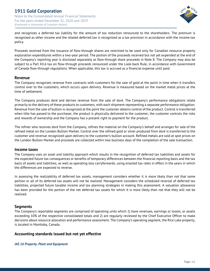

and recognizes a deferred tax liability for the amount of tax reduction renounced to the shareholders. The premium is recognised as other income and the related deferred tax is recognized as a tax provision in accordance with the income tax policy.

Proceeds received from the issuance of flow-through shares are restricted to be used only for Canadian resource property exploration expenditures within a two-year period. The portion of the proceeds received but not yet expended at the end of the Company's reporting year is disclosed separately as flow-through share proceeds in Note 8. The Company may also be subject to a Part XII.6 tax on flow-through proceeds renounced under the Look-back Rule, in accordance with Government of Canada flow-through regulations. When applicable, this tax is accrued as a financial expense until paid.

#### **Revenue**

The Company recognizes revenue from contracts with customers for the sale of gold at the point in time when it transfers control over to the customers, which occurs upon delivery. Revenue is measured based on the market metal prices at the time of settlement.

The Company produces doré and derives revenue from the sale of doré. The Company's performance obligations relate primarily to the delivery of these products to customers, with each shipment representing a separate performance obligation. Revenue from the sale of bullion is recognized at the point the customer obtains control of the product. Control is transferred when title has passed to the purchaser, the product is physically delivered to the customer, the customer controls the risks and rewards of ownership and the Company has a present right to payment for the product.

The refiner who receives doré from the Company, refines the material on the Company's behalf and arranges for sale of the refined metal on the London Bullion Market. Control over the refined gold or silver produced from doré is transferred to the customer and revenue recognized upon delivery to the customer's bullion account. Refined metals are sold at spot prices on the London Bullion Market and proceeds are collected within two business days of the completion of the sale transaction.

#### **Income taxes**

The Company uses an asset and liability approach which results in the recognition of deferred tax liabilities and assets for the expected future tax consequences or benefits of temporary differences between the financial reporting basis and the tax basis of assets and liabilities, as well as operating loss carryforwards, using enacted tax rates in effect in the years in which the differences are expected to reverse.

In assessing the realizability of deferred tax assets, management considers whether it is more likely than not that some portion or all of its deferred tax assets will not be realized. Management considers the scheduled reversal of deferred tax liabilities, projected future taxable income and tax planning strategies in making this assessment. A valuation allowance has been provided for the portion of the net deferred tax assets for which it is more likely than not that they will not be realized.

#### **Segments**

The Company's reportable segments are comprised of operating units which 1) have revenues, earnings or losses, or assets exceeding 10% of the respective consolidated totals and 2) are regularly reviewed by the Chief Executive Officer to make decisions about resource allocation and performance assessment. The Company's operating segment, the Rice Lake property, is located in Manitoba, Canada.

#### **Accounting standards issued but not yet effective**

#### *IAS 16 Property, Plant and Equipment*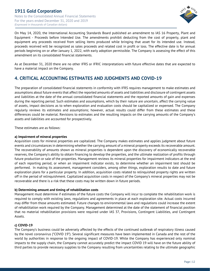

On May 14, 2020, the International Accounting Standards Board published an amendment to IAS 16 Property, Plant and Equipment - Proceeds before Intended Use. The amendments prohibit deducting from the cost of property, plant and equipment any proceeds received from selling items produced while bringing that asset for its intended use. Instead, proceeds received will be recognized as sales proceeds and related cost in profit or loss. The effective date is for annual periods beginning on or after January 1, 2022, with early adoption permissible. The Company is assessing the effect of this amendment on its consolidated financial statements.

As at December 31, 2020 there are no other IFRS or IFRIC interpretations with future effective dates that are expected to have a material impact on the Company.

## **4. CRITICAL ACCOUNTING ESTIMATES AND JUDGMENTS AND COVID-19**

The preparation of consolidated financial statements in conformity with IFRS requires management to make estimates and assumptions about future events that affect the reported amounts of assets and liabilities and disclosure of contingent assets and liabilities at the date of the annual consolidated financial statements and the reported amounts of gain and expenses during the reporting period. Such estimates and assumptions, which by their nature are uncertain, affect the carrying value of assets, impact decisions as to when exploration and evaluation costs should be capitalized or expensed. The Company regularly reviews its estimates and assumptions; however, actual results could differ from these estimates and these differences could be material. Revisions to estimates and the resulting impacts on the carrying amounts of the Company's assets and liabilities are accounted for prospectively.

These estimates are as follows:

#### **a) Impairment of mineral properties**

Acquisition costs for mineral properties are capitalized. The Company makes estimates and applies judgment about future events and circumstances in determining whether the carrying amount of a mineral property exceeds its recoverable amount. The recoverability of amounts shown as mineral properties is dependent upon the discovery of economically recoverable reserves, the Company's ability to obtain financing to develop the properties, and the ultimate realization of profits through future production or sale of the properties. Management reviews its mineral properties for impairment indicators at the end of each reporting period, or when an impairment indicator exists, to determine whether an impairment test should be performed. In making its assessment, management considers, among other things, exploration results to date and future exploration plans for a particular property. In addition, acquisition costs related to relinquished property rights are written off in the period of relinquishment. Capitalized acquisition costs in respect of the Company's mineral properties may not be recoverable and there is a risk that these costs may be written down in future periods.

#### **b) Determining amount and timing of rehabilitation costs**

Management must determine if estimates of the future costs the Company will incur to complete the rehabilitation work is required to comply with existing laws, regulations and agreements in place at each exploration site. Actual costs incurred may differ from those amounts estimated. Future changes to environmental laws and regulations could increase the extent of rehabilitation work required by the Company. Management determined at the date of the statement of financial position that no material rehabilitation provisions were required under IAS 37, Provisions, Contingent Liabilities, and Contingent Assets.

#### **c) COVID-19**

The Company's business could be adversely affected by the effects of the continued outbreak of respiratory illness caused by the novel coronavirus ("COVID 19"). Several significant measures have been implemented in Canada and the rest of the world by authorities in response to the ongoing impact of COVID-19. While the Company has experienced only nominal impacts to the supply chain, the Company cannot accurately predict the impact COVID 19 will have on the future ability of third parties to provide necessary supplies to the Company resulting from uncertainties relating to the ultimate geographic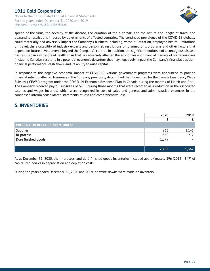

spread of the virus, the severity of the disease, the duration of the outbreak, and the nature and length of travel and quarantine restrictions imposed by governments of affected countries. The continued prevalence of the COVID-19 globally could materially and adversely impact the Company's business including, without limitation, employee health, limitations on travel, the availability of industry experts and personnel, restrictions on planned drill programs and other factors that depend on future developments beyond the Company's control. In addition, the significant outbreak of a contagious disease has resulted in a widespread health crisis that has adversely affected the economies and financial markets of many countries (including Canada), resulting in a potential economic downturn that may negatively impact the Company's financial position, financial performance, cash flows, and its ability to raise capital.

In response to the negative economic impact of COVID-19, various government programs were announced to provide financial relief to affected businesses. The Company previously determined that it qualified for the Canada Emergency Wage Subsidy ("CEWS") program under the COVID-19 Economic Response Plan in Canada during the months of March and April. The Company received payroll subsidies of \$295 during those months that were recorded as a reduction in the associated salaries and wages incurred, which were recognized in cost of sales and general and administrative expenses in the condensed interim consolidated statements of loss and comprehensive loss.

### **5. INVENTORIES**

|                                        | 2020  | 2019  |
|----------------------------------------|-------|-------|
|                                        |       | \$    |
| <b>PRODUCTION RELATED INVENTORIES:</b> |       |       |
| Supplies                               | 966   | 1,145 |
| In-process                             | 540   | 217   |
| Doré finished goods                    | 1,279 |       |
|                                        |       |       |
|                                        | 2,785 | 1,362 |

As at December 31, 2020, the in-process, and doré finished goods inventories included approximately \$96 (2019 - \$47) of capitalized non-cash depreciation and depletion costs.

During the years ended December 31, 2020 and 2019, no write-downs were made on inventory.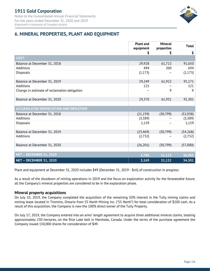Notes to the Consolidated Annual Financial Statements For the years ended December 31, 2020 and 2019 (Expressed in thousands of Canadian dollars)



## **6. MINERAL PROPERTIES, PLANT AND EQUIPMENT**

|                                               | <b>Plant and</b><br>equipment | <b>Mineral</b><br>properties | <b>Total</b> |
|-----------------------------------------------|-------------------------------|------------------------------|--------------|
|                                               | \$                            | S                            | \$           |
| COST:                                         |                               |                              |              |
| Balance at December 31, 2018                  | 29,928                        | 61,722                       | 91,650       |
| Additions                                     | 494                           | 200                          | 694          |
| Disposals                                     | (1, 173)                      |                              | (1, 173)     |
| Balance at December 31, 2019                  | 29,249                        | 61,922                       | 91,171       |
| Additions                                     | 121                           |                              | 121          |
| Change in estimate of reclamation obligation  |                               | 9                            | 9            |
| Balance at December 31, 2020                  | 29,370                        | 61,931                       | 91,301       |
|                                               |                               |                              |              |
| <b>ACCUMULATED DEPRECIATION AND DEPLETION</b> |                               |                              |              |
| Balance at December 31, 2018                  | (21, 239)                     | (30, 799)                    | (52,038)     |
| Additions                                     | (3, 389)                      |                              | (3, 389)     |
| Disposals                                     | 1,159                         |                              | 1,159        |
| Balance at December 31, 2019                  | (23, 469)                     | (30, 799)                    | (54, 268)    |
| Additions                                     | (2,732)                       |                              | (2,732)      |
| Balance at December 31, 2020                  | (26, 201)                     | (30, 799)                    | (57,000)     |
| <b>NET - DECEMBER 31, 2019</b>                | 5,780                         | 31,123                       | 36,903       |
| <b>NET - DECEMBER 31, 2020</b>                | 3,169                         | 31,132                       | 34,301       |

Plant and equipment at December 31, 2020 includes \$49 (December 31, 2019 - \$nil) of construction in progress.

As a result of the shutdown of mining operations in 2019 and the focus on exploration activity for the foreseeable future, all the Company's mineral properties are considered to be in the exploration phase.

#### **Mineral property acquisitions**

On July 10, 2019, the Company completed the acquisition of the remaining 50% interest in the Tully mining claims and mining lease located in Timmins, Ontario from 55 North Mining Inc. ("55 North") for total consideration of \$200 cash. As a result of this acquisition, the Company is now the 100% direct owner of the Tully Property.

On July 17, 2019, the Company entered into an arms' length agreement to acquire three additional mineral claims, totaling approximately 230 hectares, on the Rice Lake belt in Manitoba, Canada. Under the terms of the purchase agreement the Company issued 150,000 shares for consideration of \$49.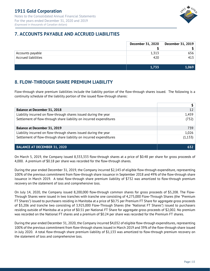

## **7. ACCOUNTS PAYABLE AND ACCRUED LIABILITIES**

|                     | <b>December 31, 2020</b> | December 31, 2019 |
|---------------------|--------------------------|-------------------|
|                     |                          |                   |
| Accounts payable    | 1,313                    | 656               |
| Accrued liabilities | 420                      | 413               |
|                     | 1,733                    | 1,069             |

## **8. FLOW-THROUGH SHARE PREMIUM LIABILITY**

Flow-through share premium liabilities include the liability portion of the flow-through shares issued. The following is a continuity schedule of the liability portion of the issued flow-through shares:

| Balance at December 31, 2018                                        | 12       |
|---------------------------------------------------------------------|----------|
| Liability incurred on flow-through shares issued during the year    | 1,459    |
| Settlement of flow-through share liability on incurred expenditures | (732)    |
| Balance at December 31, 2019                                        | 739      |
| Liability incurred on flow-through shares issued during the year    | 1,026    |
| Settlement of flow-through share liability on incurred expenditures | (1, 133) |
| <b>BALANCE AT DECEMBER 31, 2020</b>                                 | 632      |

On March 5, 2019, the Company issued 8,333,333 flow-through shares at a price of \$0.48 per share for gross proceeds of 4,000. A premium of \$0.18 per share was recorded for the flow-through shares.

During the year ended December 31, 2019, the Company incurred \$2,143 of eligible flow-through expenditure, representing 100% of the previous commitment from flow-through share issuance in September 2018 and 49% of the flow-through share issuance in March 2019. A total flow-through share premium liability of \$732 was amortized to flow-through premium recovery on the statement of loss and comprehensive loss.

On July 14, 2020, the Company issued 8,200,000 flow-through common shares for gross proceeds of \$5,208. The Flow-Through Shares were issued in two tranches with tranche one consisting of 4,275,000 Flow-Through Shares (the "Premium FT Shares") issued to purchasers residing in Manitoba at a price of \$0.75 per Premium FT Share for aggregate gross proceeds of \$3,206 and tranche two consisting of 3,925,000 Flow-Through Shares (the "National FT Shares") issued to purchasers residing outside of Manitoba at a price of \$0.51 per National FT Share for aggregate gross proceeds of \$2,002. No premium was recorded on the National FT shares and a premium of \$0.24 per share was recorded for the Premium FT shares.

During the year ended December 31, 2020, the Company incurred \$4,032 of eligible flow-through expenditures, representing 100% of the previous commitment from flow-through shares issued in March 2019 and 39% of the flow-through share issued in July 2020. A total flow-through share premium liability of \$1,133 was amortized to flow-through premium recovery on the statement of loss and comprehensive loss.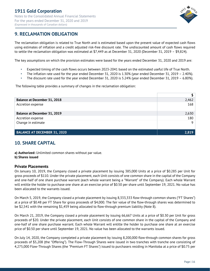

## **9. RECLAMATION OBLIGATION**

The reclamation obligation is related to True North and is estimated based upon the present value of expected cash flows using estimates of inflation and a credit adjusted risk-free discount rate. The undiscounted amount of cash flows required to settle the reclamation obligation was estimated at \$7,449 as at December 31, 2020 (December 31, 2019 – \$9,824).

The key assumptions on which the provision estimates were based for the years ended December 31, 2020 and 2019 are:

- *•* Expected timing of the cash flows occurs between 2023-2041 based on the estimated useful life of True North.
- *•* The inflation rate used for the year ended December 31, 2020 is 1.30% (year ended December 31, 2019 2.40%).
- *•* The discount rate used for the year ended December 31, 2020 is 5.24% (year ended December 31, 2019 6.80%).

The following table provides a summary of changes in the reclamation obligation:

| <b>Balance at December 31, 2018</b> | 2,462 |
|-------------------------------------|-------|
| Accretion expense                   | 168   |
| <b>Balance at December 31, 2019</b> | 2,630 |
| Accretion expense                   | 180   |
| Change in estimate                  | 9     |
| <b>BALANCE AT DECEMBER 31, 2020</b> | 2.819 |

## **10. SHARE CAPITAL**

**a) Authorized:** Unlimited common shares without par value.

**b) Shares issued**

#### **Private Placements**

On January 10, 2019, the Company closed a private placement by issuing 385,000 Units at a price of \$0.285 per Unit for gross proceeds of \$110. Under the private placement, each Unit consists of one common share in the capital of the Company and one-half of one share purchase warrant (each whole warrant being a "Warrant" of the Company). Each whole Warrant will entitle the holder to purchase one share at an exercise price of \$0.50 per share until September 19, 2021. No value has been allocated to the warrants issued.

On March 5, 2019, the Company closed a private placement by issuing 8,333,333 flow-through common shares ("FT Shares") at a price of \$0.48 per FT Share for gross proceeds of \$4,000. The fair value of the flow-through shares was determined to be \$2,541 with the remaining \$1,459 being allocated to flow-through premium liability (Note 8).

On March 21, 2019, the Company closed a private placement by issuing 66,667 Units at a price of \$0.30 per Unit for gross proceeds of \$20. Under the private placement, each Unit consists of one common share in the capital of the Company and one-half of one share purchase warrant. Each whole Warrant will entitle the holder to purchase one share at an exercise price of \$0.50 per share until September 19, 2021. No value has been allocated to the warrants issued.

On July 14, 2020, the Company completed a private placement by issuing 8,200,000 flow-through common shares for gross proceeds of \$5,208 (the "Offering"). The Flow-Through Shares were issued in two tranches with tranche one consisting of 4,275,000 Flow-Through Shares (the "Premium FT Shares") issued to purchasers residing in Manitoba at a price of \$0.75 per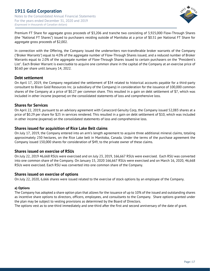

Premium FT Share for aggregate gross proceeds of \$3,206 and tranche two consisting of 3,925,000 Flow-Through Shares (the "National FT Shares") issued to purchasers residing outside of Manitoba at a price of \$0.51 per National FT Share for aggregate gross proceeds of \$2,002.

In connection with the Offering, the Company issued the underwriters non-transferable broker warrants of the Company ("Broker Warrants") equal to 4.0% of the aggregate number of Flow-Through Shares issued, and a reduced number of Broker Warrants equal to 2.0% of the aggregate number of Flow-Through Shares issued to certain purchasers on the "President's List". Each Broker Warrant is exercisable to acquire one common share in the capital of the Company at an exercise price of \$0.60 per share until January 14, 2022.

#### **Debt settlement**

On April 17, 2019, the Company negotiated the settlement of \$34 related to historical accounts payable for a third-party consultant to Bison Gold Resources Inc. (a subsidiary of the Company) in consideration for the issuance of 100,000 common shares of the Company at a price of \$0.27 per common share. This resulted in a gain on debt settlement of \$7, which was included in other income (expense) on the consolidated statements of loss and comprehensive loss.

#### **Shares for Services**

On April 22, 2019, pursuant to an advisory agreement with Canaccord Genuity Corp, the Company issued 52,083 shares at a price of \$0.29 per share for \$25 in services rendered. This resulted in a gain on debt settlement of \$10, which was included in other income (expense) on the consolidated statements of loss and comprehensive loss.

#### **Shares issued for acquisition of Rice Lake Belt claims**

On July 17, 2019, the Company entered into an arm's length agreement to acquire three additional mineral claims, totaling approximately 230 hectares, on the Rice Lake belt in Manitoba, Canada. Under the terms of the purchase agreement the Company issued 150,000 shares for consideration of \$49, to the private owner of these claims.

#### **Shares issued on exercise of RSUs**

On July 22, 2019 46,668 RSUs were exercised and on July 23, 2019, 166,667 RSUs were exercised. Each RSU was converted into one common share of the Company. On January 15, 2020 166,667 RSUs were exercised and on March 16, 2020, 46,668 RSUs were exercised. Each RSU was converted into one common share of the Company.

#### **Shares issued on exercise of options**

On July 22, 2020, 6,666 shares were issued related to the exercise of stock options by an employee of the Company.

#### **a) Options**

The Company has adopted a share option plan that allows for the issuance of up to 10% of the issued and outstanding shares as incentive share options to directors, officers, employees, and consultants to the Company. Share options granted under the plan may be subject to vesting provisions as determined by the Board of Directors.

The options vest as to one-third immediately and one-third after the first and second anniversary of the date of grant.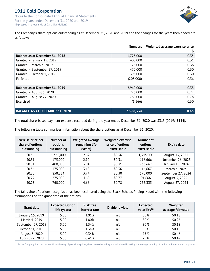

The Company's share options outstanding as at December 31, 2020 and 2019 and the changes for the years then ended are as follows:

|                                        | <b>Numbers</b> | Weighted average exercise price |
|----------------------------------------|----------------|---------------------------------|
|                                        |                | Ş                               |
| Balance as at December 31, 2018        | 1,725,000      | 0.35                            |
| Granted - January 15, 2019             | 400,000        | 0.31                            |
| Granted - March 4, 2019                | 175,000        | 0.36                            |
| Granted - September 27, 2019           | 470,000        | 0.30                            |
| Granted - October 1, 2019              | 395,000        | 0.30                            |
| Forfeited                              | (205,000)      | 0.36                            |
| Balance as at December 31, 2019        | 2,960,000      | 0.33                            |
| Granted - August 5, 2020               | 275,000        | 0.77                            |
| Granted - August 27, 2020              | 760,000        | 0.78                            |
| Exercised                              | (6,666)        | 0.30                            |
| <b>BALANCE AS AT DECEMBER 31, 2020</b> | 3.988.334      | 0.45                            |

The total share-based payment expense recorded during the year ended December 31, 2020 was \$315 (2019: \$154).

The following table summarizes information about the share options as at December 31, 2020:

| <b>Exercise price per</b><br>share of options<br>outstanding | Number of<br>options<br>outstanding | Weighted average<br>remaining life<br>(years) | <b>Weighted exercise</b><br>price of options<br>exercisable | Number of<br>options<br>exercisable | <b>Expiry date</b> |
|--------------------------------------------------------------|-------------------------------------|-----------------------------------------------|-------------------------------------------------------------|-------------------------------------|--------------------|
| \$0.36                                                       | 1,345,000                           | 2.62                                          | \$0.36                                                      | 1,345,000                           | August 15, 2023    |
| \$0.31                                                       | 175,000                             | 2.90                                          | \$0.31                                                      | 116,666                             | November 26, 2023  |
| \$0.31                                                       | 400,000                             | 3.04                                          | \$0.31                                                      | 266,667                             | January 15, 2024   |
| \$0.36                                                       | 175,000                             | 3.18                                          | \$0.36                                                      | 116,667                             | March 4, 2024      |
| \$0.30                                                       | 858,334                             | 3.74                                          | \$0.30                                                      | 570,000                             | September 27, 2024 |
| \$0.77                                                       | 275,000                             | 4.60                                          | \$0.77                                                      | 91,666                              | August 5, 2025     |
| \$0.78                                                       | 760,000                             | 4.66                                          | \$0.78                                                      | 253,333                             | August 27, 2025    |

The fair value of options recognized has been estimated using the Black-Scholes Pricing Model with the following assumptions on the grant date of the options:

| <b>Grant date</b>  | <b>Expected Option</b><br>life (years) | <b>Risk free</b><br>interest rate | Dividend yield | <b>Expected</b><br>volatility <sup>(1)</sup> | Weighted<br>average fair value |
|--------------------|----------------------------------------|-----------------------------------|----------------|----------------------------------------------|--------------------------------|
| January 15, 2019   | 5.00                                   | 1.91%                             | nil            | 80%                                          | \$0.18                         |
| March 4, 2019      | 5.00                                   | 1.80%                             | nil            | 80%                                          | \$0.23                         |
| September 27, 2019 | 5.00                                   | 1.34%                             | nil            | 80%                                          | \$0.18                         |
| October 1, 2019    | 5.00                                   | 1.34%                             | nil            | 80%                                          | \$0.18                         |
| August 5, 2020     | 5.00                                   | 0.34%                             | nil            | 75%                                          | \$0.46                         |
| August 27, 2020    | 5.00                                   | 0.41%                             | nil            | 75%                                          | \$0.47                         |

[1] As the Company does not have sufficient history of past share prices, the expected volatility was calculated by taking the average volatility of similar junior resource companies.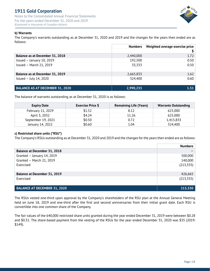

#### **b) Warrants**

The Company's warrants outstanding as at December 31, 2020 and 2019 and the changes for the years then ended are as follows:

|                                        | <b>Numbers</b> | Weighted average exercise price |
|----------------------------------------|----------------|---------------------------------|
|                                        |                |                                 |
| Balance as at December 31, 2018        | 2,440,000      | 1.72                            |
| Issued - January 10, 2019              | 192,500        | 0.50                            |
| Issued - March 21, 2019                | 33,333         | 0.50                            |
| Balance as at December 31, 2019        | 2,665,833      | 1.62                            |
| Issued $-$ July 14, 2020               | 324,400        | 0.60                            |
| <b>BALANCE AS AT DECEMBER 31, 2020</b> | 2,990,233      | 1.51                            |

The balance of warrants outstanding as at December 31, 2020 is as follows:

| <b>Expiry Date</b> | <b>Exercise Price \$</b> | <b>Remaining Life (Years)</b> | <b>Warrants Outstanding</b> |
|--------------------|--------------------------|-------------------------------|-----------------------------|
| February 11, 2029  | \$1.52                   | 8.12                          | 625.000                     |
| April 3, 2032      | \$4.24                   | 11.26                         | 625,000                     |
| September 19, 2021 | \$0.50                   | 0.72                          | 1,415,833                   |
| January 14, 2022   | \$0.60                   | 1.04                          | 324,400                     |

#### **c) Restricted share units ("RSU")**

The Company's RSUs outstanding as at December 31, 2020 and 2019 and the changes for the years then ended are as follows:

|                                     | <b>Numbers</b> |
|-------------------------------------|----------------|
| <b>Balance at December 31, 2018</b> |                |
| Granted - January 14, 2019          | 500,000        |
| Granted - March 21, 2019            | 140,000        |
| Exercised                           | (213, 335)     |
| <b>Balance at December 31, 2019</b> | 426,665        |
| Exercised                           | (213, 335)     |
| <b>BALANCE AT DECEMBER 31, 2020</b> | 213,330        |

The RSUs vested one-third upon approval by the Company's shareholders of the RSU plan at the Annual General Meeting held on June 18, 2019 and one-third after the first and second anniversaries from their initial grant date. Each RSU is convertible into one common share of the Company.

The fair values of the 640,000 restricted share units granted during the year ended December 31, 2019 were between \$0.28 and \$0.31. The share-based payment from the vesting of the RSUs for the year ended December 31, 2020 was \$35 (2019: \$149).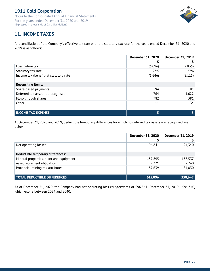Notes to the Consolidated Annual Financial Statements For the years ended December 31, 2020 and 2019 (Expressed in thousands of Canadian dollars)



## **11. INCOME TAXES**

A reconciliation of the Company's effective tax rate with the statutory tax rate for the years ended December 31, 2020 and 2019 is as follows:

|                                        | December 31, 2020 | December 31, 2019 |
|----------------------------------------|-------------------|-------------------|
|                                        |                   |                   |
| Loss before tax                        | (6,096)           | (7, 835)          |
| Statutory tax rate                     | 27%               | 27%               |
| Income tax (benefit) at statutory rate | (1,646)           | (2, 115)          |
| <b>Reconciling items:</b>              |                   |                   |
| Share-based payments                   | 94                | 81                |
| Deferred tax asset not recognised      | 764               | 1,622             |
| Flow-through shares                    | 782               | 381               |
| Other                                  | 11                | 34                |
|                                        |                   |                   |
| <b>INCOME TAX EXPENSE</b>              | 5                 |                   |

At December 31, 2020 and 2019, deductible temporary differences for which no deferred tax assets are recognized are below:

|                                         | <b>December 31, 2020</b> | December 31, 2019 |
|-----------------------------------------|--------------------------|-------------------|
|                                         |                          |                   |
| Net operating losses                    | 96,841                   | 94,340            |
|                                         |                          |                   |
| Deductible temporary differences:       |                          |                   |
| Mineral properties, plant and equipment | 157,895                  | 157,537           |
| Asset retirement obligation             | 2,721                    | 2,740             |
| Provincial mining tax attributes        | 87,639                   | 84,030            |
|                                         |                          |                   |
| <b>TOTAL DEDUCTIBLE DIFFERENCES</b>     | 345,096                  | 338,647           |

As of December 31, 2020, the Company had net operating loss carryforwards of \$96,841 (December 31, 2019 - \$94,340) which expire between 2034 and 2040.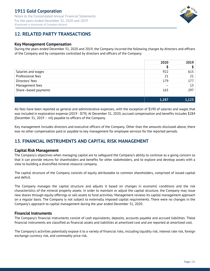Notes to the Consolidated Annual Financial Statements For the years ended December 31, 2020 and 2019 (Expressed in thousands of Canadian dollars)



## **12. RELATED PARTY TRANSACTIONS**

#### **Key Management Compensation**

During the years ended December 31, 2020 and 2019, the Company incurred the following charges by directors and officers of the Company and by companies controlled by directors and officers of the Company:

|                      | 2020  | 2019  |
|----------------------|-------|-------|
|                      |       | \$    |
| Salaries and wages   | 922   | 615   |
| Professional fees    | 21    | 21    |
| Directors' fees      | 179   | 177   |
| Management fees      |       | 13    |
| Share-based payments | 165   | 297   |
|                      | 1,287 | 1,123 |

All fees have been reported as general and administrative expenses, with the exception of \$190 of salaries and wages that was included in exploration expense (2019 - \$79). At December 31, 2020, accrued compensation and benefits includes \$284 (December 31, 2019 – nil) payable to officers of the Company.

Key management includes directors and executive officers of the Company. Other than the amounts disclosed above, there was no other compensation paid or payable to key management for employee services for the reported periods.

## **13. FINANCIAL INSTRUMENTS AND CAPITAL RISK MANAGEMENT**

#### **Capital Risk Management**

The Company's objectives when managing capital are to safeguard the Company's ability to continue as a going concern so that it can provide returns for shareholders and benefits for other stakeholders, and to explore and develop assets with a view to building a diversified mineral resource company.

The capital structure of the Company consists of equity attributable to common shareholders, comprised of issued capital and deficit.

The Company manages the capital structure and adjusts it based on changes in economic conditions and the risk characteristics of the mineral property assets. In order to maintain or adjust the capital structure, the Company may issue new shares through equity offerings or sell assets to fund activities. Management reviews its capital management approach on a regular basis. The Company is not subject to externally imposed capital requirements. There were no changes in the Company's approach to capital management during the year ended December 31, 2020.

#### **Financial Instruments**

The Company's financial instruments consist of cash equivalents, deposits, accounts payable and accrued liabilities. These financial instruments are classified as financial assets and liabilities at amortized cost and are reported at amortized cost.

The Company's activities potentially expose it to a variety of financial risks, including liquidity risk, interest rate risk, foreign exchange currency risk, and commodity price risk.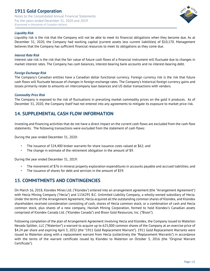Notes to the Consolidated Annual Financial Statements For the years ended December 31, 2020 and 2019 (Expressed in thousands of Canadian dollars)



#### *Liquidity Risk*

Liquidity risk is the risk that the Company will not be able to meet its financial obligations when they become due. As at December 31, 2020, the Company had working capital (current assets less current liabilities) of \$10,170. Management believes that the Company has sufficient financial resources to meet its obligations as they come due.

#### *Interest Rate Risk*

Interest rate risk is the risk that the fair value of future cash flows of a financial instrument will fluctuate due to changes in market interest rates. The Company has cash balances, interest-bearing bank accounts and no interest-bearing debt.

#### *Foreign Exchange Risk*

The Company's Canadian entities have a Canadian dollar functional currency. Foreign currency risk is the risk that future cash flows will fluctuate because of changes in foreign exchange rates. The Company's historical foreign currency gains and losses primarily relate to amounts on intercompany loan balances and US dollar transactions with vendors.

#### *Commodity Price Risk*

The Company is exposed to the risk of fluctuations in prevailing market commodity prices on the gold it produces. As of December 31, 2020, the Company itself had not entered into any agreements to mitigate its exposure to market price risk.

### **14. SUPPLEMENTAL CASH FLOW INFORMATION**

Investing and financing activities that do not have a direct impact on the current cash flows are excluded from the cash flow statements. The following transactions were excluded from the statement of cash flows:

During the year ended December 31, 2020:

- *•* The issuance of 324,400 broker warrants for share issuance costs valued at \$62; and
- *•* The change in estimate of the retirement obligation in the amount of \$9.

During the year ended December 31, 2019:

- *•* The movement of \$76 in mineral property exploration expenditures in accounts payable and accrued liabilities; and
- *•* The issuance of shares for debt and services in the amount of \$59.

## **15. COMMITMENTS AND CONTINGENCIES**

On March 16, 2018, Klondex Mines Ltd. ("Klondex") entered into an arrangement agreement (the "Arrangement Agreement") with Hecla Mining Company ("Hecla") and 1156291 B.C. Unlimited Liability Company, a wholly-owned subsidiary of Hecla. Under the terms of the Arrangement Agreement, Hecla acquired all the outstanding common shares of Klondex, and Klondex shareholders received consideration consisting of cash, shares of Hecla common stock, or a combination of cash and Hecla common stock, plus shares of a new company, Havilah Mining Corporation, formed to hold Klondex's Canadian assets comprised of Klondex Canada Ltd. ("Klondex Canada") and Bison Gold Resources, Inc. ("Bison").

Following completion of the plan of Arrangement Agreement involving Hecla and Klondex, the Company issued to Waterton Nevada Splitter, LLC ("Waterton") a warrant to acquire up to 625,000 common shares of the Company at an exercise price of \$4.24 per share and expiring April 3, 2032 (the "1911 Gold Replacement Warrant"). 1911 Gold Replacement Warrants were issued to Waterton along with a replacement warrant from Hecla (collectively the "Replacement Warrants") in accordance with the terms of the warrant certificate issued by Klondex to Waterton on October 3, 2016 (the "Original Warrant Certificate").